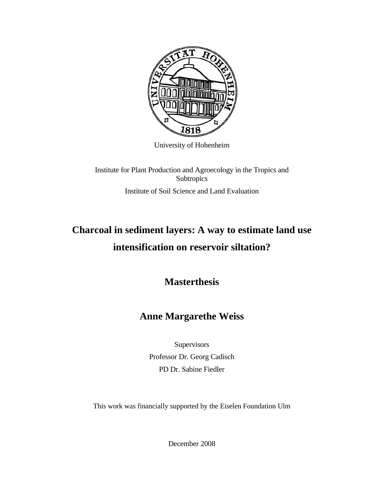

University of Hohenheim

Institute for Plant Production and Agroecology in the Tropics and **Subtropics** Institute of Soil Science and Land Evaluation

## **Charcoal in sediment layers: A way to estimate land use intensification on reservoir siltation?**

**Masterthesis** 

## **Anne Margarethe Weiss**

**Supervisors** Professor Dr. Georg Cadisch PD Dr. Sabine Fiedler

This work was financially supported by the Eiselen Foundation Ulm

December 2008